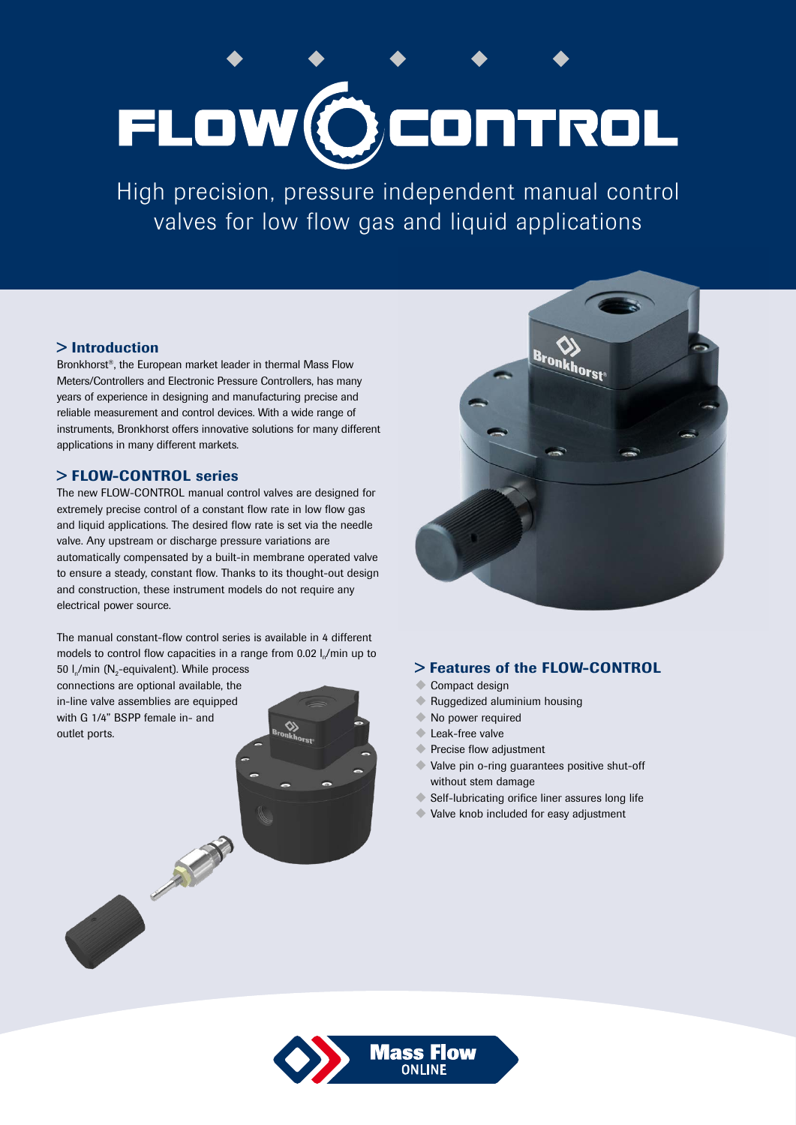# FLOW OCONTROL

High precision, pressure independent manual control valves for low flow gas and liquid applications

# > Introduction

Bronkhorst®, the European market leader in thermal Mass Flow Meters/Controllers and Electronic Pressure Controllers, has many years of experience in designing and manufacturing precise and reliable measurement and control devices. With a wide range of instruments, Bronkhorst offers innovative solutions for many different applications in many different markets.

# > FLOW-CONTROL series

The new FLOW-CONTROL manual control valves are designed for extremely precise control of a constant flow rate in low flow gas and liquid applications. The desired flow rate is set via the needle valve. Any upstream or discharge pressure variations are automatically compensated by a built-in membrane operated valve to ensure a steady, constant flow. Thanks to its thought-out design and construction, these instrument models do not require any electrical power source.

The manual constant-flow control series is available in 4 different models to control flow capacities in a range from 0.02 l./min up to 50  $I_n/m$ in (N<sub>2</sub>-equivalent). While process

connections are optional available, the in-line valve assemblies are equipped with G 1/4" BSPP female in- and outlet ports.

No. of Concession



# > Features of the FLOW-CONTROL

- Compact design
- $\blacklozenge$  Ruggedized aluminium housing
- $\blacktriangleright$  No power required
- Leak-free valve
- Precise flow adjustment
- Valve pin o-ring guarantees positive shut-off without stem damage
- $\blacklozenge$  Self-lubricating orifice liner assures long life
- $\blacklozenge$  Valve knob included for easy adjustment